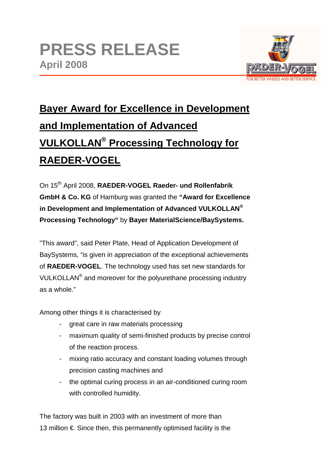

## **Bayer Award for Excellence in Development and Implementation of Advanced VULKOLLAN® Processing Technology for RAEDER-VOGEL**

On 15th April 2008, **RAEDER-VOGEL Raeder- und Rollenfabrik GmbH & Co. KG** of Hamburg was granted the **"Award for Excellence in Development and Implementation of Advanced VULKOLLAN® Processing Technology"** by **Bayer MaterialScience/BaySystems.**

"This award", said Peter Plate, Head of Application Development of BaySystems, "is given in appreciation of the exceptional achievements of **RAEDER-VOGEL**. The technology used has set new standards for VULKOLLAN<sup>®</sup> and moreover for the polyurethane processing industry as a whole."

Among other things it is characterised by

- great care in raw materials processing
- maximum quality of semi-finished products by precise control of the reaction process.
- mixing ratio accuracy and constant loading volumes through precision casting machines and
- the optimal curing process in an air-conditioned curing room with controlled humidity.

The factory was built in 2003 with an investment of more than 13 million €. Since then, this permanently optimised facility is the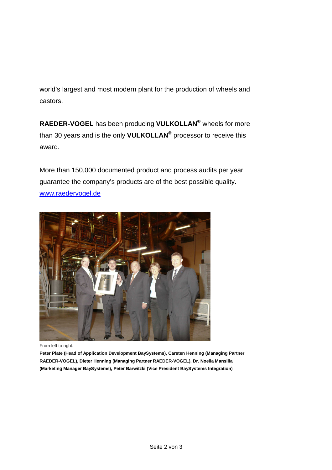world's largest and most modern plant for the production of wheels and castors.

**RAEDER-VOGEL** has been producing **VULKOLLAN®** wheels for more than 30 years and is the only **VULKOLLAN®** processor to receive this award.

More than 150,000 documented product and process audits per year guarantee the company's products are of the best possible quality. www.raedervogel.de



From left to right:

**Peter Plate (Head of Application Development BaySystems), Carsten Henning (Managing Partner RAEDER-VOGEL), Dieter Henning (Managing Partner RAEDER-VOGEL), Dr. Noelia Mansilla (Marketing Manager BaySystems), Peter Barwitzki (Vice President BaySystems Integration)**